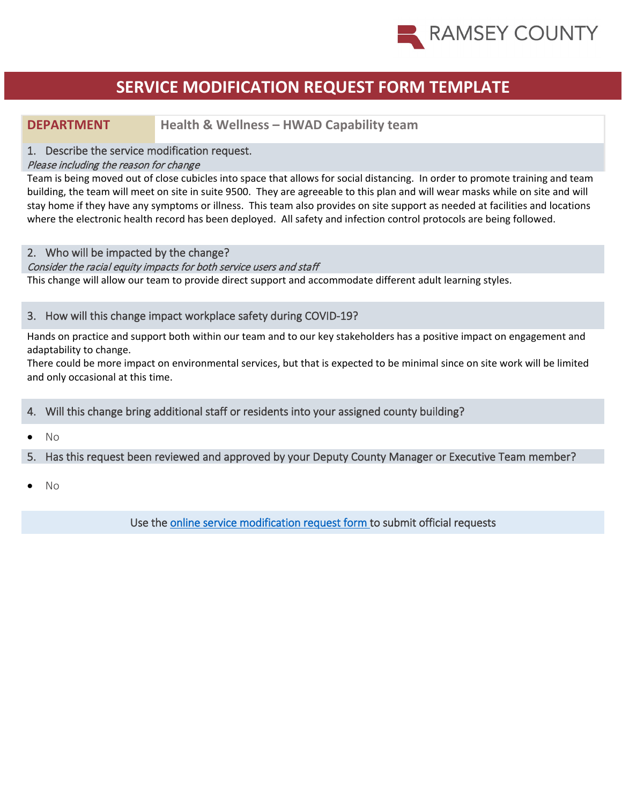

### **SERVICE MODIFICATION REQUEST FORM TEMPLATE**

### **DEPARTMENT Health & Wellness – HWAD Capability team**

### 1. Describe the service modification request.

#### Please including the reason for change

Team is being moved out of close cubicles into space that allows for social distancing. In order to promote training and team building, the team will meet on site in suite 9500. They are agreeable to this plan and will wear masks while on site and will stay home if they have any symptoms or illness. This team also provides on site support as needed at facilities and locations where the electronic health record has been deployed. All safety and infection control protocols are being followed.

### 2. Who will be impacted by the change?

#### Consider the racial equity impacts for both service users and staff

This change will allow our team to provide direct support and accommodate different adult learning styles.

### 3. How will this change impact workplace safety during COVID-19?

Hands on practice and support both within our team and to our key stakeholders has a positive impact on engagement and adaptability to change.

There could be more impact on environmental services, but that is expected to be minimal since on site work will be limited and only occasional at this time.

### 4. Will this change bring additional staff or residents into your assigned county building?

• No

### 5. Has this request been reviewed and approved by your Deputy County Manager or Executive Team member?

• No

Use the [online service modification request form t](https://ramseynet.us/county-governance/county-manager/covid-19-service-delivery-change-request)o submit official requests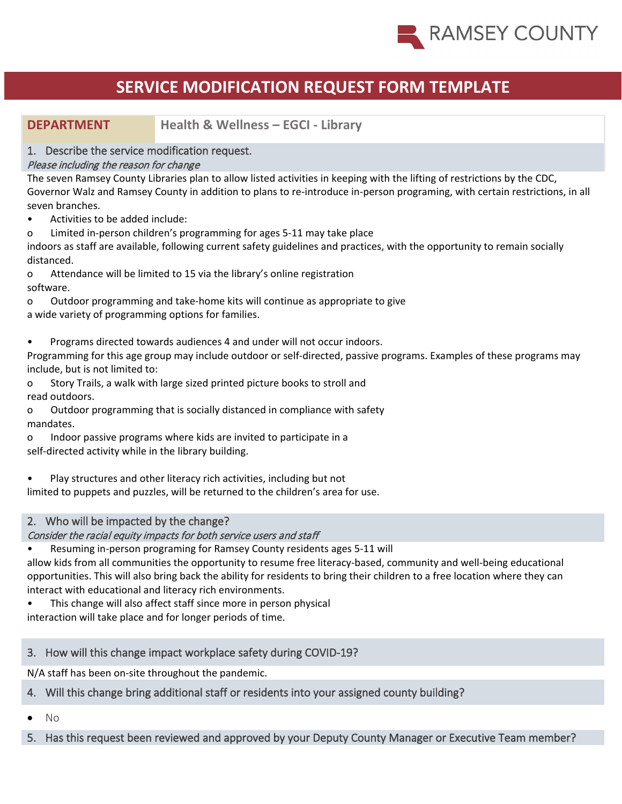

## **SERVICE MODIFICATION REQUEST FORM TEMPLATE**

### **DEPARTMENT Health & Wellness – EGCI - Library**

### 1. Describe the service modification request.

### Please including the reason for change

The seven Ramsey County Libraries plan to allow listed activities in keeping with the lifting of restrictions by the CDC, Governor Walz and Ramsey County in addition to plans to re-introduce in-person programing, with certain restrictions, in all seven branches.

- Activities to be added include:
- o Limited in-person children's programming for ages 5-11 may take place

indoors as staff are available, following current safety guidelines and practices, with the opportunity to remain socially distanced.

o Attendance will be limited to 15 via the library's online registration software.

o Outdoor programming and take-home kits will continue as appropriate to give

a wide variety of programming options for families.

• Programs directed towards audiences 4 and under will not occur indoors.

Programming for this age group may include outdoor or self-directed, passive programs. Examples of these programs may include, but is not limited to:

o Story Trails, a walk with large sized printed picture books to stroll and read outdoors.

o Outdoor programming that is socially distanced in compliance with safety mandates.

- o Indoor passive programs where kids are invited to participate in a self-directed activity while in the library building.
- Play structures and other literacy rich activities, including but not

limited to puppets and puzzles, will be returned to the children's area for use.

### 2. Who will be impacted by the change?

### Consider the racial equity impacts for both service users and staff

• Resuming in-person programing for Ramsey County residents ages 5-11 will

allow kids from all communities the opportunity to resume free literacy-based, community and well-being educational opportunities. This will also bring back the ability for residents to bring their children to a free location where they can interact with educational and literacy rich environments.

This change will also affect staff since more in person physical

interaction will take place and for longer periods of time.

### 3. How will this change impact workplace safety during COVID-19?

N/A staff has been on-site throughout the pandemic.

### 4. Will this change bring additional staff or residents into your assigned county building?

• No

5. Has this request been reviewed and approved by your Deputy County Manager or Executive Team member?